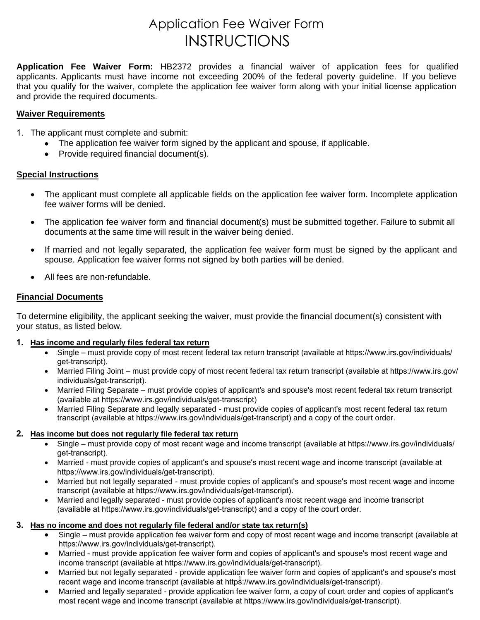# Application Fee Waiver Form INSTRUCTIONS

**Application Fee Waiver Form:** HB2372 provides a financial waiver of application fees for qualified applicants. Applicants must have income not exceeding 200% of the federal poverty guideline. If you believe that you qualify for the waiver, complete the application fee waiver form along with your initial license application and provide the required documents.

#### **Waiver Requirements**

- 1. The applicant must complete and submit:
	- The application fee waiver form signed by the applicant and spouse, if applicable.
	- Provide required financial document(s).

### **Special Instructions**

- The applicant must complete all applicable fields on the application fee waiver form. Incomplete application fee waiver forms will be denied.
- The application fee waiver form and financial document(s) must be submitted together. Failure to submit all documents at the same time will result in the waiver being denied.
- If married and not legally separated, the application fee waiver form must be signed by the applicant and spouse. Application fee waiver forms not signed by both parties will be denied.
- All fees are non-refundable.

### **Financial Documents**

To determine eligibility, the applicant seeking the waiver, must provide the financial document(s) consistent with your status, as listed below.

#### **1. Has income and regularly files federal tax return**

- Single must provide copy of most recent federal tax return transcript (available at https://www.irs.gov/individuals/ get-transcript).
- Married Filing Joint must provide copy of most recent federal tax return transcript (available at https://www.irs.gov/ individuals/get-transcript).
- Married Filing Separate must provide copies of applicant's and spouse's most recent federal tax return transcript (available at https://www.irs.gov/individuals/get-transcript)
- Married Filing Separate and legally separated must provide copies of applicant's most recent federal tax return transcript (available at https://www.irs.gov/individuals/get-transcript) and a copy of the court order.

#### **2. Has income but does not regularly file federal tax return**

- Single must provide copy of most recent wage and income transcript (available at https://www.irs.gov/individuals/ get-transcript).
- Married must provide copies of applicant's and spouse's most recent wage and income transcript (available at https://www.irs.gov/individuals/get-transcript).
- Married but not legally separated must provide copies of applicant's and spouse's most recent wage and income transcript (available at https://www.irs.gov/individuals/get-transcript).
- Married and legally separated must provide copies of applicant's most recent wage and income transcript (available at https://www.irs.gov/individuals/get-transcript) and a copy of the court order.

#### **3. Has no income and does not regularly file federal and/or state tax return(s)**

- Single must provide application fee waiver form and copy of most recent wage and income transcript (available at https://www.irs.gov/individuals/get-transcript).
- Married must provide application fee waiver form and copies of applicant's and spouse's most recent wage and income transcript (available at https://www.irs.gov/individuals/get-transcript).
- recent wage and income transcript (available at https://www.irs.gov/individuals/get-transcript). • Married but not legally separated - provide application fee waiver form and copies of applicant's and spouse's most
- Married and legally separated provide application fee waiver form, a copy of court order and copies of applicant's most recent wage and income transcript (available at https://www.irs.gov/individuals/get-transcript).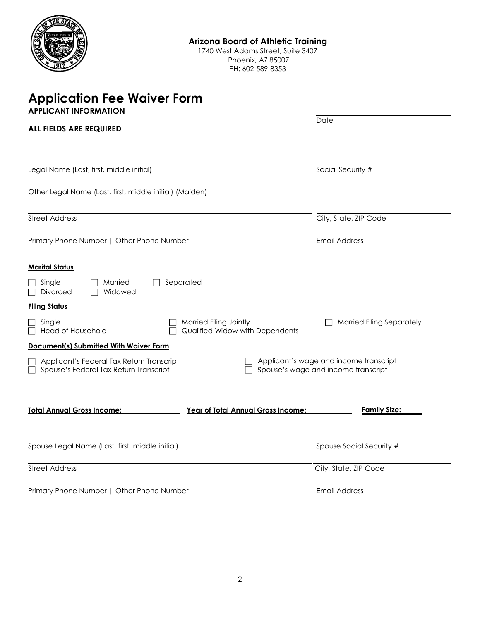

1740 West Adams Street, Suite 3407 Phoenix, AZ 85007 PH: 602-589-8353

## **Application Fee Waiver Form APPLICANT INFORMATION**

| <b>ALL FIELDS ARE REQUIRED</b>                                                                                                                                                                                                                                                                                                             | Date                                                                                                              |
|--------------------------------------------------------------------------------------------------------------------------------------------------------------------------------------------------------------------------------------------------------------------------------------------------------------------------------------------|-------------------------------------------------------------------------------------------------------------------|
| Legal Name (Last, first, middle initial)                                                                                                                                                                                                                                                                                                   | Social Security #                                                                                                 |
| Other Legal Name (Last, first, middle initial) (Maiden)                                                                                                                                                                                                                                                                                    |                                                                                                                   |
| <b>Street Address</b>                                                                                                                                                                                                                                                                                                                      | City, State, ZIP Code                                                                                             |
| Primary Phone Number   Other Phone Number                                                                                                                                                                                                                                                                                                  | <b>Email Address</b>                                                                                              |
| <b>Marital Status</b><br>Separated<br>Single<br>Married<br>Widowed<br>Divorced<br><b>Filing Status</b><br>Single<br>Married Filing Jointly<br><b>Head of Household</b><br>Qualified Widow with Dependents<br>Document(s) Submitted With Waiver Form<br>Applicant's Federal Tax Return Transcript<br>Spouse's Federal Tax Return Transcript | <b>Married Filing Separately</b><br>Applicant's wage and income transcript<br>Spouse's wage and income transcript |
| <b>Total Annual Gross Income:</b><br>Year of Total Annual Gross Income:                                                                                                                                                                                                                                                                    | <b>Family Size:</b>                                                                                               |
| Spouse Legal Name (Last, first, middle initial)                                                                                                                                                                                                                                                                                            | Spouse Social Security #                                                                                          |
| <b>Street Address</b>                                                                                                                                                                                                                                                                                                                      | City, State, ZIP Code                                                                                             |
| Primary Phone Number   Other Phone Number                                                                                                                                                                                                                                                                                                  | <b>Email Address</b>                                                                                              |